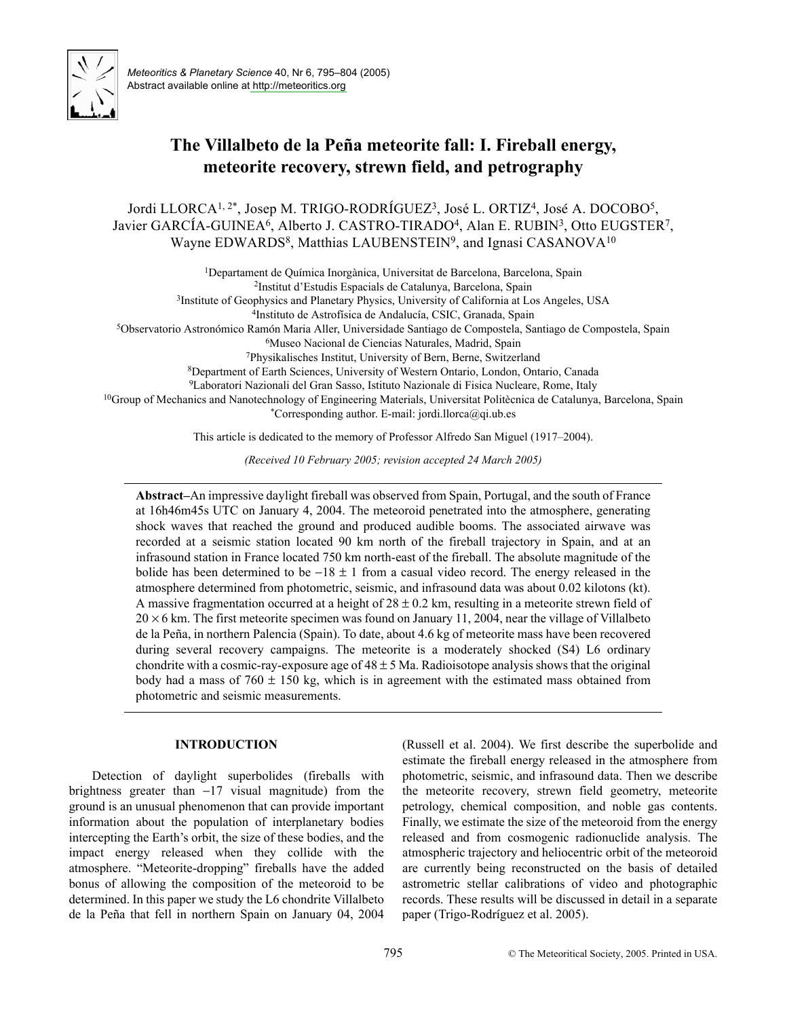

# The Villalbeto de la Peña meteorite fall: I. Fireball energy, meteorite recovery, strewn field, and petrography

Jordi LLORCA<sup>1,2\*</sup>, Josep M. TRIGO-RODRÍGUEZ<sup>3</sup>, José L. ORTIZ<sup>4</sup>, José A. DOCOBO<sup>5</sup>, Javier GARCÍA-GUINEA<sup>6</sup>, Alberto J. CASTRO-TIRADO<sup>4</sup>, Alan E. RUBIN<sup>3</sup>, Otto EUGSTER<sup>7</sup>, Wayne EDWARDS<sup>8</sup>, Matthias LAUBENSTEIN<sup>9</sup>, and Ignasi CASANOVA<sup>10</sup>

<sup>1</sup>Departament de Química Inorgànica, Universitat de Barcelona, Barcelona, Spain <sup>2</sup>Institut d'Estudis Espacials de Catalunya, Barcelona, Spain <sup>3</sup>Institute of Geophysics and Planetary Physics, University of California at Los Angeles, USA <sup>4</sup>Instituto de Astrofísica de Andalucía, CSIC, Granada, Spain <sup>5</sup>Observatorio Astronómico Ramón Maria Aller, Universidade Santiago de Compostela, Santiago de Compostela, Spain

<sup>6</sup>Museo Nacional de Ciencias Naturales, Madrid, Spain

<sup>7</sup>Physikalisches Institut, University of Bern, Berne, Switzerland

<sup>8</sup>Department of Earth Sciences, University of Western Ontario, London, Ontario, Canada

<sup>9</sup>Laboratori Nazionali del Gran Sasso, Istituto Nazionale di Fisica Nucleare, Rome, Italy

<sup>10</sup>Group of Mechanics and Nanotechnology of Engineering Materials, Universitat Politècnica de Catalunya, Barcelona, Spain \*Corresponding author. E-mail: jordi.llorca@qi.ub.es

This article is dedicated to the memory of Professor Alfredo San Miguel (1917–2004).

(Received 10 February 2005; revision accepted 24 March 2005)

Abstract-An impressive daylight fireball was observed from Spain, Portugal, and the south of France at 16h46m45s UTC on January 4, 2004. The meteoroid penetrated into the atmosphere, generating shock waves that reached the ground and produced audible booms. The associated airwave was recorded at a seismic station located 90 km north of the fireball trajectory in Spain, and at an infrasound station in France located 750 km north-east of the fireball. The absolute magnitude of the bolide has been determined to be  $-18 \pm 1$  from a casual video record. The energy released in the atmosphere determined from photometric, seismic, and infrasound data was about 0.02 kilotons (kt). A massive fragmentation occurred at a height of  $28 \pm 0.2$  km, resulting in a meteorite strewn field of  $20 \times 6$  km. The first meteorite specimen was found on January 11, 2004, near the village of Villalbeto de la Peña, in northern Palencia (Spain). To date, about 4.6 kg of meteorite mass have been recovered during several recovery campaigns. The meteorite is a moderately shocked (S4) L6 ordinary chondrite with a cosmic-ray-exposure age of  $48 \pm 5$  Ma. Radioisotope analysis shows that the original body had a mass of  $760 \pm 150$  kg, which is in agreement with the estimated mass obtained from photometric and seismic measurements.

# **INTRODUCTION**

Detection of daylight superbolides (fireballs with brightness greater than  $-17$  visual magnitude) from the ground is an unusual phenomenon that can provide important information about the population of interplanetary bodies intercepting the Earth's orbit, the size of these bodies, and the impact energy released when they collide with the atmosphere. "Meteorite-dropping" fireballs have the added bonus of allowing the composition of the meteoroid to be determined. In this paper we study the L6 chondrite Villalbeto de la Peña that fell in northern Spain on January 04, 2004

(Russell et al. 2004). We first describe the superbolide and estimate the fireball energy released in the atmosphere from photometric, seismic, and infrasound data. Then we describe the meteorite recovery, strewn field geometry, meteorite petrology, chemical composition, and noble gas contents. Finally, we estimate the size of the meteoroid from the energy released and from cosmogenic radionuclide analysis. The atmospheric trajectory and heliocentric orbit of the meteoroid are currently being reconstructed on the basis of detailed astrometric stellar calibrations of video and photographic records. These results will be discussed in detail in a separate paper (Trigo-Rodríguez et al. 2005).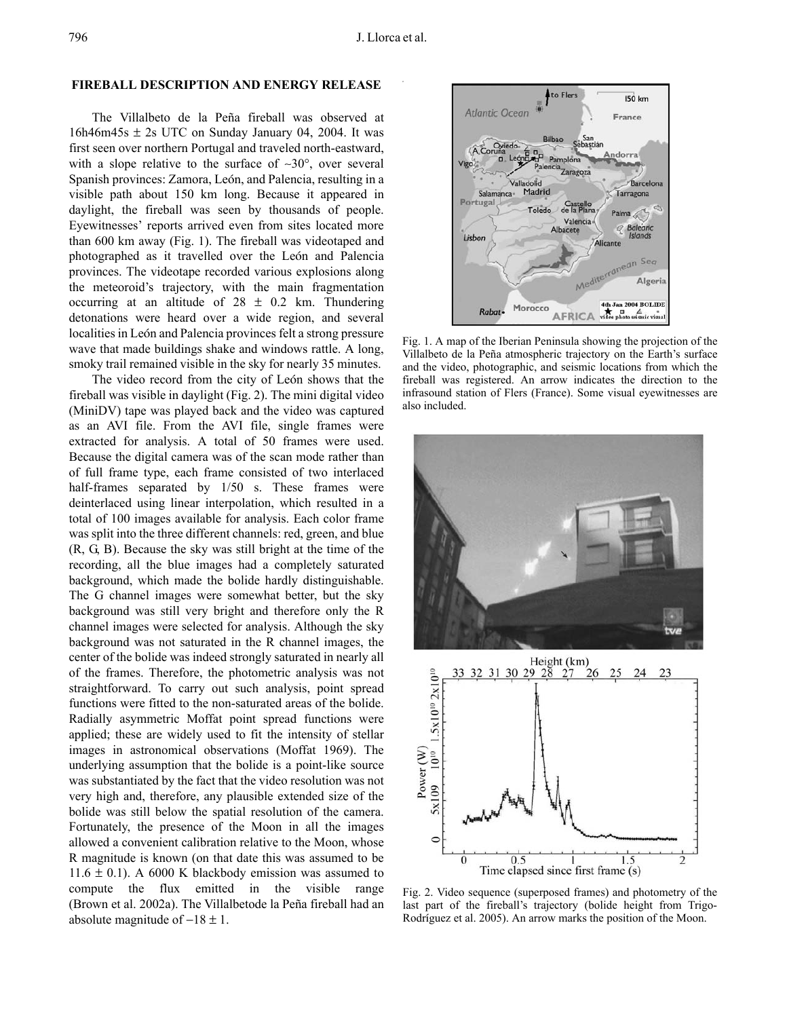## **FIREBALL DESCRIPTION AND ENERGY RELEASE**

The Villalbeto de la Peña fireball was observed at 16h46m45s  $\pm$  2s UTC on Sunday January 04, 2004. It was first seen over northern Portugal and traveled north-eastward, with a slope relative to the surface of  $\sim 30^{\circ}$ , over several Spanish provinces: Zamora, León, and Palencia, resulting in a visible path about 150 km long. Because it appeared in daylight, the fireball was seen by thousands of people. Eyewitnesses' reports arrived even from sites located more than 600 km away (Fig. 1). The fireball was videotaped and photographed as it travelled over the León and Palencia provinces. The videotape recorded various explosions along the meteoroid's trajectory, with the main fragmentation occurring at an altitude of  $28 \pm 0.2$  km. Thundering detonations were heard over a wide region, and several localities in León and Palencia provinces felt a strong pressure wave that made buildings shake and windows rattle. A long, smoky trail remained visible in the sky for nearly 35 minutes.

The video record from the city of León shows that the fireball was visible in daylight (Fig. 2). The mini digital video (MiniDV) tape was played back and the video was captured as an AVI file. From the AVI file, single frames were extracted for analysis. A total of 50 frames were used. Because the digital camera was of the scan mode rather than of full frame type, each frame consisted of two interlaced half-frames separated by 1/50 s. These frames were deinterlaced using linear interpolation, which resulted in a total of 100 images available for analysis. Each color frame was split into the three different channels: red, green, and blue (R, G, B). Because the sky was still bright at the time of the recording, all the blue images had a completely saturated background, which made the bolide hardly distinguishable. The G channel images were somewhat better, but the sky background was still very bright and therefore only the R channel images were selected for analysis. Although the sky background was not saturated in the R channel images, the center of the bolide was indeed strongly saturated in nearly all of the frames. Therefore, the photometric analysis was not straightforward. To carry out such analysis, point spread functions were fitted to the non-saturated areas of the bolide. Radially asymmetric Moffat point spread functions were applied; these are widely used to fit the intensity of stellar images in astronomical observations (Moffat 1969). The underlying assumption that the bolide is a point-like source was substantiated by the fact that the video resolution was not very high and, therefore, any plausible extended size of the bolide was still below the spatial resolution of the camera. Fortunately, the presence of the Moon in all the images allowed a convenient calibration relative to the Moon, whose R magnitude is known (on that date this was assumed to be 11.6  $\pm$  0.1). A 6000 K blackbody emission was assumed to compute the flux emitted  $in$ the visible range (Brown et al. 2002a). The Villalbetode la Peña fireball had an absolute magnitude of  $-18 \pm 1$ .



Fig. 1. A map of the Iberian Peninsula showing the projection of the Villalbeto de la Peña atmospheric trajectory on the Earth's surface and the video, photographic, and seismic locations from which the fireball was registered. An arrow indicates the direction to the infrasound station of Flers (France). Some visual eyewitnesses are also included.



Fig. 2. Video sequence (superposed frames) and photometry of the last part of the fireball's trajectory (bolide height from Trigo-Rodríguez et al. 2005). An arrow marks the position of the Moon.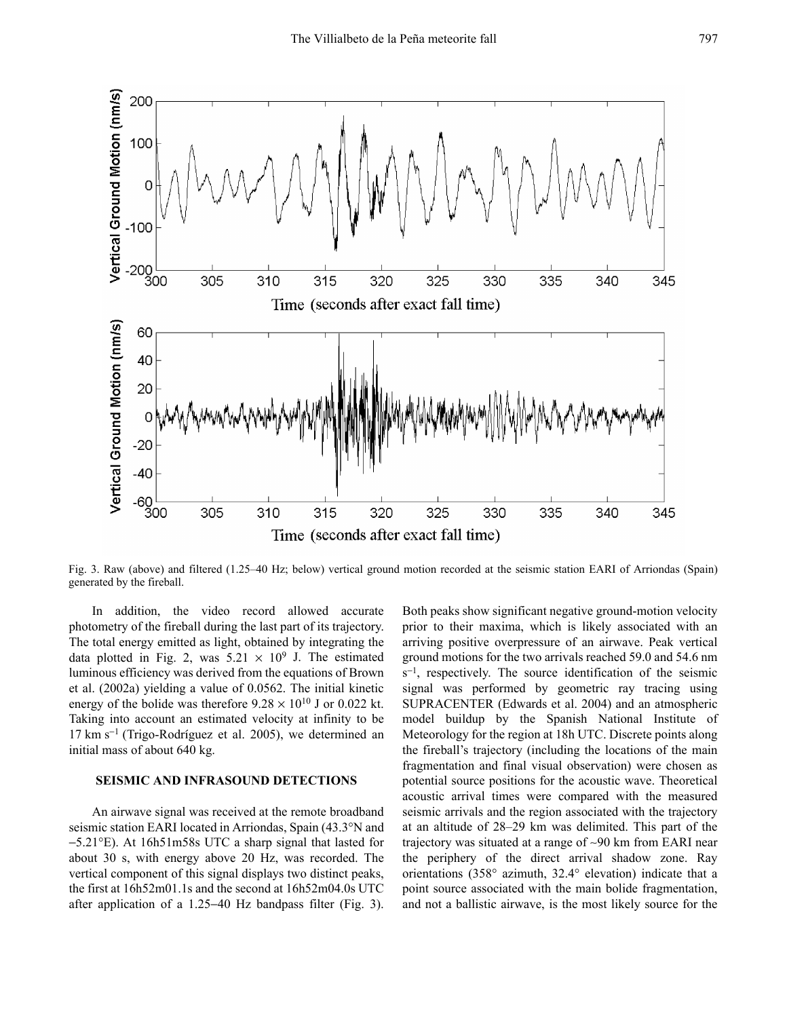

Fig. 3. Raw (above) and filtered (1.25-40 Hz; below) vertical ground motion recorded at the seismic station EARI of Arriondas (Spain) generated by the fireball.

In addition, the video record allowed accurate photometry of the fireball during the last part of its trajectory. The total energy emitted as light, obtained by integrating the data plotted in Fig. 2, was  $5.21 \times 10^9$  J. The estimated luminous efficiency was derived from the equations of Brown et al.  $(2002a)$  yielding a value of 0.0562. The initial kinetic energy of the bolide was therefore  $9.28 \times 10^{10}$  J or 0.022 kt. Taking into account an estimated velocity at infinity to be  $17 \text{ km s}^{-1}$  (Trigo-Rodríguez et al. 2005), we determined an initial mass of about 640 kg.

#### **SEISMIC AND INFRASOUND DETECTIONS**

An airwave signal was received at the remote broadband seismic station EARI located in Arriondas, Spain (43.3°N and  $-5.21^{\circ}$ E). At 16h51m58s UTC a sharp signal that lasted for about 30 s, with energy above 20 Hz, was recorded. The vertical component of this signal displays two distinct peaks, the first at 16h52m01.1s and the second at 16h52m04.0s UTC after application of a 1.25–40 Hz bandpass filter (Fig. 3).

Both peaks show significant negative ground-motion velocity prior to their maxima, which is likely associated with an arriving positive overpressure of an airwave. Peak vertical ground motions for the two arrivals reached 59.0 and 54.6 nm  $s^{-1}$ , respectively. The source identification of the seismic signal was performed by geometric ray tracing using SUPRACENTER (Edwards et al. 2004) and an atmospheric model buildup by the Spanish National Institute of Meteorology for the region at 18h UTC. Discrete points along the fireball's trajectory (including the locations of the main fragmentation and final visual observation) were chosen as potential source positions for the acoustic wave. Theoretical acoustic arrival times were compared with the measured seismic arrivals and the region associated with the trajectory at an altitude of 28–29 km was delimited. This part of the trajectory was situated at a range of  $\sim 90$  km from EARI near the periphery of the direct arrival shadow zone. Ray orientations (358° azimuth, 32.4° elevation) indicate that a point source associated with the main bolide fragmentation, and not a ballistic airwave, is the most likely source for the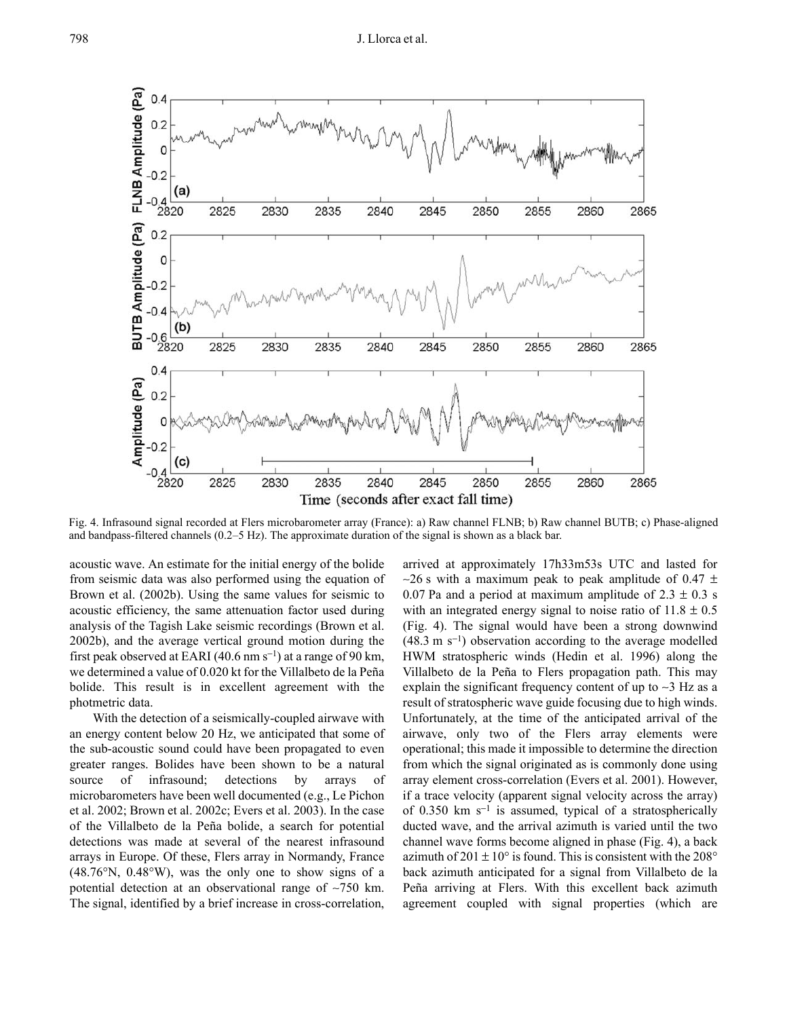### J. Llorca et al.



Fig. 4. Infrasound signal recorded at Flers microbarometer array (France): a) Raw channel FLNB; b) Raw channel BUTB; c) Phase-aligned and bandpass-filtered channels  $(0.2-5 \text{ Hz})$ . The approximate duration of the signal is shown as a black bar.

acoustic wave. An estimate for the initial energy of the bolide from seismic data was also performed using the equation of Brown et al. (2002b). Using the same values for seismic to acoustic efficiency, the same attenuation factor used during analysis of the Tagish Lake seismic recordings (Brown et al. 2002b), and the average vertical ground motion during the first peak observed at EARI (40.6 nm  $s^{-1}$ ) at a range of 90 km, we determined a value of 0.020 kt for the Villalbeto de la Peña bolide. This result is in excellent agreement with the photmetric data.

With the detection of a seismically-coupled airwave with an energy content below 20 Hz, we anticipated that some of the sub-acoustic sound could have been propagated to even greater ranges. Bolides have been shown to be a natural source of infrasound; detections by arrays of microbarometers have been well documented (e.g., Le Pichon et al. 2002; Brown et al. 2002c; Evers et al. 2003). In the case of the Villalbeto de la Peña bolide, a search for potential detections was made at several of the nearest infrasound arrays in Europe. Of these, Flers array in Normandy, France  $(48.76\text{°N}, 0.48\text{°W})$ , was the only one to show signs of a potential detection at an observational range of ~750 km. The signal, identified by a brief increase in cross-correlation, arrived at approximately 17h33m53s UTC and lasted for  $\sim$ 26 s with a maximum peak to peak amplitude of 0.47  $\pm$ 0.07 Pa and a period at maximum amplitude of  $2.3 \pm 0.3$  s with an integrated energy signal to noise ratio of  $11.8 \pm 0.5$ (Fig. 4). The signal would have been a strong downwind  $(48.3 \text{ m s}^{-1})$  observation according to the average modelled HWM stratospheric winds (Hedin et al. 1996) along the Villalbeto de la Peña to Flers propagation path. This may explain the significant frequency content of up to  $\sim$ 3 Hz as a result of stratospheric wave guide focusing due to high winds. Unfortunately, at the time of the anticipated arrival of the airwave, only two of the Flers array elements were operational; this made it impossible to determine the direction from which the signal originated as is commonly done using array element cross-correlation (Evers et al. 2001). However, if a trace velocity (apparent signal velocity across the array) of 0.350 km  $s^{-1}$  is assumed, typical of a stratospherically ducted wave, and the arrival azimuth is varied until the two channel wave forms become aligned in phase (Fig. 4), a back azimuth of  $201 \pm 10^{\circ}$  is found. This is consistent with the  $208^{\circ}$ back azimuth anticipated for a signal from Villalbeto de la Peña arriving at Flers. With this excellent back azimuth agreement coupled with signal properties (which are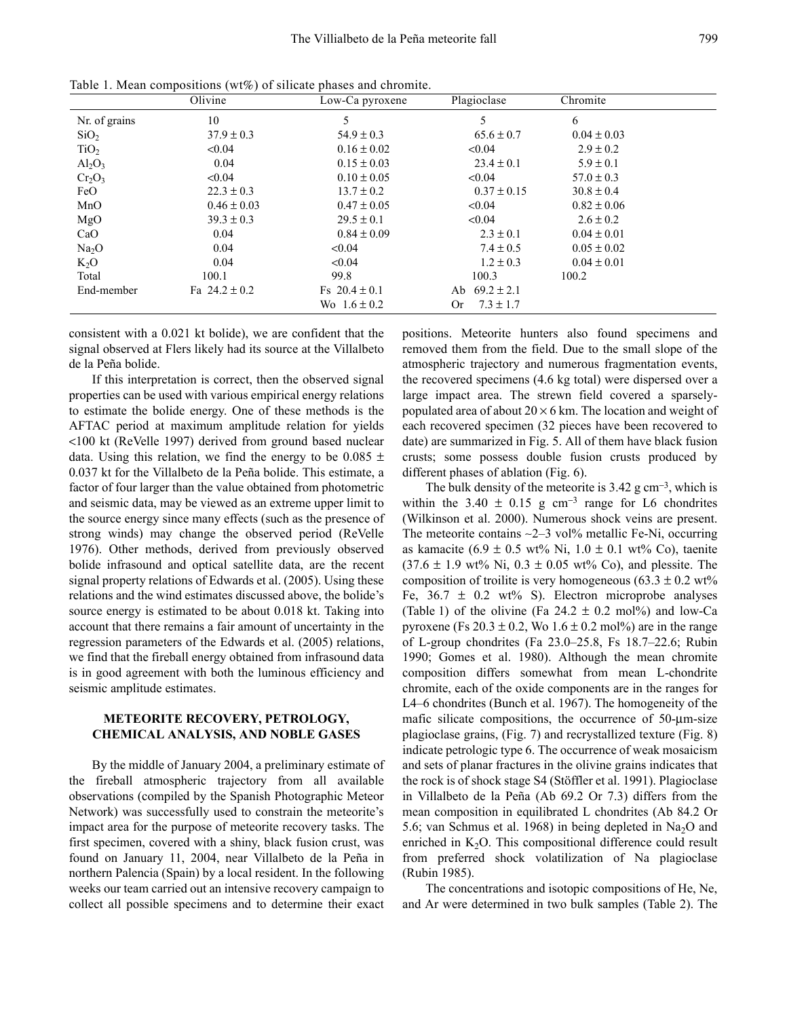|                   | Olivine           | Low-Ca pyroxene   | Plagioclase          | Chromite        |  |
|-------------------|-------------------|-------------------|----------------------|-----------------|--|
| Nr. of grains     | 10                | 5                 | 5                    | 6               |  |
| SiO <sub>2</sub>  | $37.9 \pm 0.3$    | $54.9 \pm 0.3$    | $65.6 \pm 0.7$       | $0.04 \pm 0.03$ |  |
| TiO <sub>2</sub>  | < 0.04            | $0.16 \pm 0.02$   | < 0.04               | $2.9 \pm 0.2$   |  |
| $Al_2O_3$         | 0.04              | $0.15 \pm 0.03$   | $23.4 \pm 0.1$       | $5.9 \pm 0.1$   |  |
| $Cr_2O_3$         | < 0.04            | $0.10 \pm 0.05$   | < 0.04               | $57.0 \pm 0.3$  |  |
| FeO               | $22.3 \pm 0.3$    | $13.7 \pm 0.2$    | $0.37 \pm 0.15$      | $30.8 \pm 0.4$  |  |
| MnO               | $0.46 \pm 0.03$   | $0.47 \pm 0.05$   | < 0.04               | $0.82 \pm 0.06$ |  |
| MgO               | $39.3 \pm 0.3$    | $29.5 \pm 0.1$    | < 0.04               | $2.6 \pm 0.2$   |  |
| CaO               | 0.04              | $0.84 \pm 0.09$   | $2.3 \pm 0.1$        | $0.04 \pm 0.01$ |  |
| Na <sub>2</sub> O | 0.04              | < 0.04            | $7.4 \pm 0.5$        | $0.05 \pm 0.02$ |  |
| $K_2O$            | 0.04              | < 0.04            | $1.2 \pm 0.3$        | $0.04 \pm 0.01$ |  |
| Total             | 100.1             | 99.8              | 100.3                | 100.2           |  |
| End-member        | Fa $24.2 \pm 0.2$ | Fs $20.4 \pm 0.1$ | $69.2 \pm 2.1$<br>Ab |                 |  |
|                   |                   | $W_0$ 16 + 02     | $73 + 17$<br>Or.     |                 |  |

Table 1. Mean compositions (wt%) of silicate phases and chromite.

consistent with a 0.021 kt bolide), we are confident that the signal observed at Flers likely had its source at the Villalbeto de la Peña bolide.

If this interpretation is correct, then the observed signal properties can be used with various empirical energy relations to estimate the bolide energy. One of these methods is the AFTAC period at maximum amplitude relation for yields <100 kt (ReVelle 1997) derived from ground based nuclear data. Using this relation, we find the energy to be  $0.085 \pm$ 0.037 kt for the Villalbeto de la Peña bolide. This estimate, a factor of four larger than the value obtained from photometric and seismic data, may be viewed as an extreme upper limit to the source energy since many effects (such as the presence of strong winds) may change the observed period (ReVelle 1976). Other methods, derived from previously observed bolide infrasound and optical satellite data, are the recent signal property relations of Edwards et al. (2005). Using these relations and the wind estimates discussed above, the bolide's source energy is estimated to be about 0.018 kt. Taking into account that there remains a fair amount of uncertainty in the regression parameters of the Edwards et al. (2005) relations, we find that the fireball energy obtained from infrasound data is in good agreement with both the luminous efficiency and seismic amplitude estimates.

# **METEORITE RECOVERY, PETROLOGY, CHEMICAL ANALYSIS, AND NOBLE GASES**

By the middle of January 2004, a preliminary estimate of the fireball atmospheric trajectory from all available observations (compiled by the Spanish Photographic Meteor Network) was successfully used to constrain the meteorite's impact area for the purpose of meteorite recovery tasks. The first specimen, covered with a shiny, black fusion crust, was found on January 11, 2004, near Villalbeto de la Peña in northern Palencia (Spain) by a local resident. In the following weeks our team carried out an intensive recovery campaign to collect all possible specimens and to determine their exact positions. Meteorite hunters also found specimens and removed them from the field. Due to the small slope of the atmospheric trajectory and numerous fragmentation events, the recovered specimens (4.6 kg total) were dispersed over a large impact area. The strewn field covered a sparselypopulated area of about  $20 \times 6$  km. The location and weight of each recovered specimen (32 pieces have been recovered to date) are summarized in Fig. 5. All of them have black fusion crusts; some possess double fusion crusts produced by different phases of ablation (Fig. 6).

The bulk density of the meteorite is  $3.42$  g cm<sup>-3</sup>, which is within the 3.40  $\pm$  0.15 g cm<sup>-3</sup> range for L6 chondrites (Wilkinson et al. 2000). Numerous shock veins are present. The meteorite contains ~2-3 vol% metallic Fe-Ni, occurring as kamacite (6.9 ± 0.5 wt% Ni,  $1.0 \pm 0.1$  wt% Co), taenite  $(37.6 \pm 1.9 \text{ wt\% Ni}, 0.3 \pm 0.05 \text{ wt\% Co}),$  and plessite. The composition of troilite is very homogeneous  $(63.3 \pm 0.2 \text{ wt})$ Fe,  $36.7 \pm 0.2$  wt% S). Electron microprobe analyses (Table 1) of the olivine (Fa  $24.2 \pm 0.2$  mol%) and low-Ca pyroxene (Fs  $20.3 \pm 0.2$ , Wo  $1.6 \pm 0.2$  mol%) are in the range of L-group chondrites (Fa 23.0-25.8, Fs 18.7-22.6; Rubin 1990; Gomes et al. 1980). Although the mean chromite composition differs somewhat from mean L-chondrite chromite, each of the oxide components are in the ranges for L4-6 chondrites (Bunch et al. 1967). The homogeneity of the mafic silicate compositions, the occurrence of 50-um-size plagioclase grains, (Fig. 7) and recrystallized texture (Fig. 8) indicate petrologic type 6. The occurrence of weak mosaicism and sets of planar fractures in the olivine grains indicates that the rock is of shock stage S4 (Stöffler et al. 1991). Plagioclase in Villalbeto de la Peña (Ab 69.2 Or 7.3) differs from the mean composition in equilibrated L chondrites (Ab 84.2 Or 5.6; van Schmus et al. 1968) in being depleted in Na<sub>2</sub>O and enriched in  $K_2O$ . This compositional difference could result from preferred shock volatilization of Na plagioclase (Rubin 1985).

The concentrations and isotopic compositions of He, Ne, and Ar were determined in two bulk samples (Table 2). The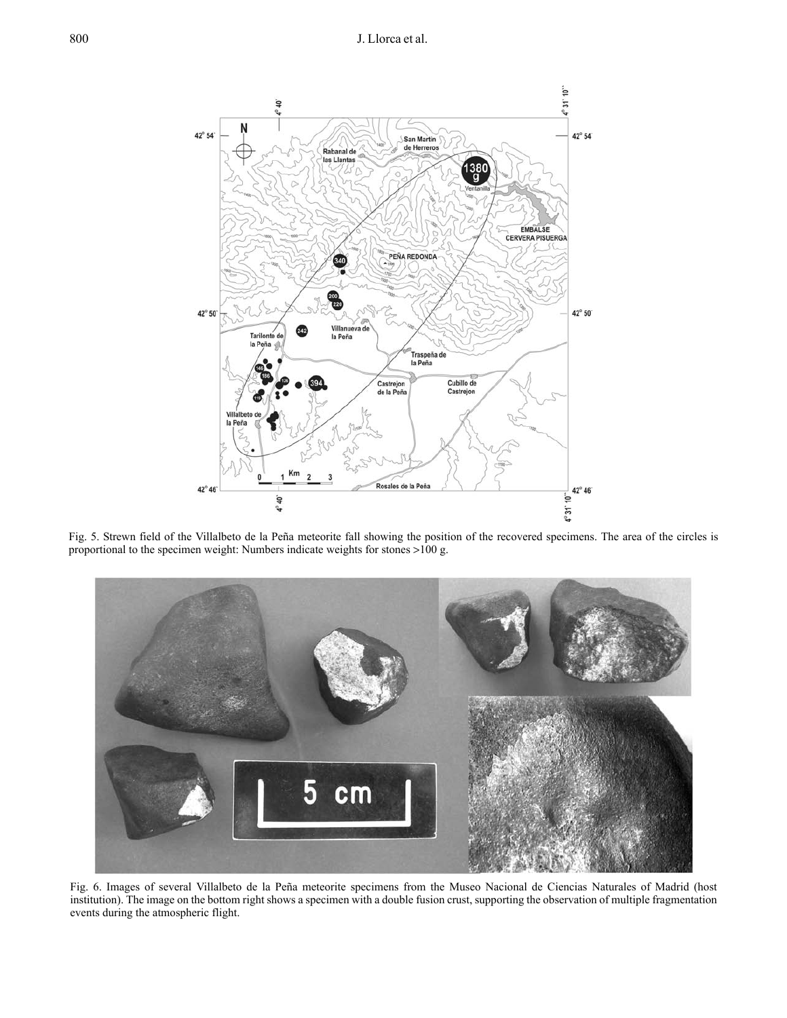

Fig. 5. Strewn field of the Villalbeto de la Peña meteorite fall showing the position of the recovered specimens. The area of the circles is proportional to the specimen weight: Numbers indicate weights for stones  $>100$  g.



Fig. 6. Images of several Villalbeto de la Peña meteorite specimens from the Museo Nacional de Ciencias Naturales of Madrid (host institution). The image on the bottom right shows a specimen with a double fusion crust, supporting the observation of multiple fragmentation events during the atmospheric flight.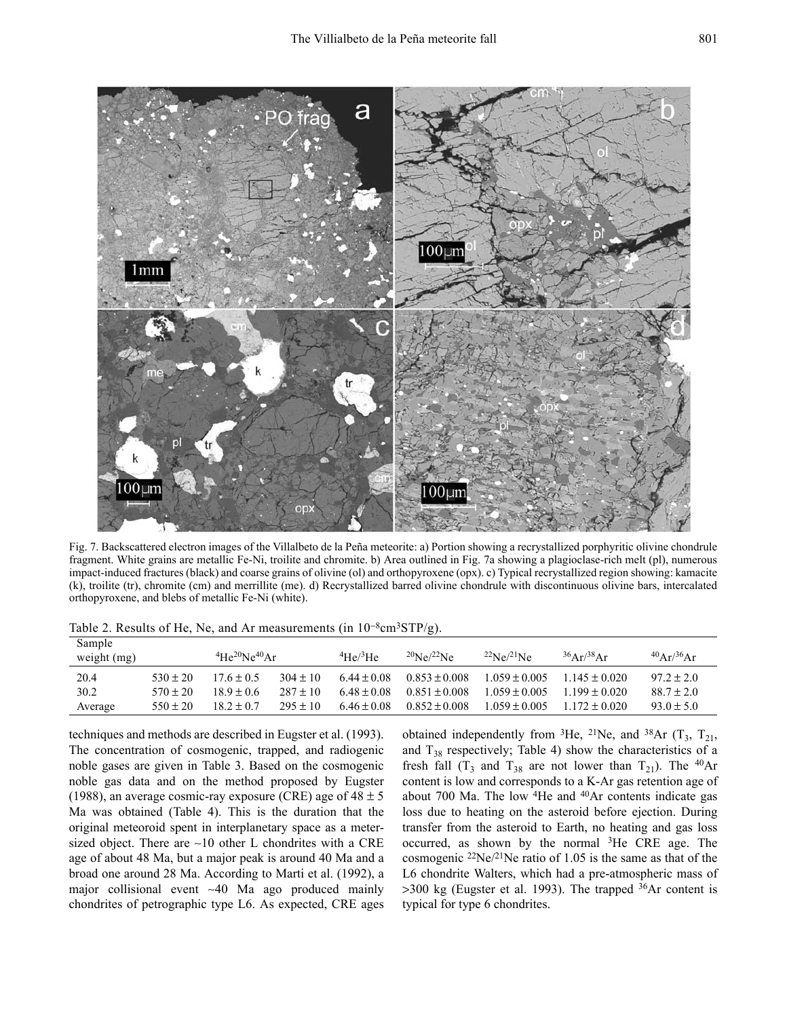

Fig. 7. Backscattered electron images of the Villalbeto de la Peña meteorite: a) Portion showing a recrystallized porphyritic olivine chondrule fragment. White grains are metallic Fe-Ni, troilite and chromite. b) Area outlined in Fig. 7a showing a plagioclase-rich melt (pl), numerous impact-induced fractures (black) and coarse grains of olivine (ol) and orthopyroxene (opx). c) Typical recrystallized region showing: kamacite (k), troilite (tr), chromite (cm) and merrillite (me). d) Recrystallized barred olivine chondrule with discontinuous olivine bars, intercalated orthopyroxene, and blebs of metallic Fe-Ni (white).

| Sample<br>weight $(mg)$ |              | $4\text{He}^{20}\text{Ne}^{40}\text{Ar}$ |              | 4He/3He         | $^{20}Ne/^{22}Ne$ | $^{22}Ne/^{21}Ne$ | $36Ar^{38}Ar$     | $^{40}$ Ar/ <sup>36</sup> Ar |
|-------------------------|--------------|------------------------------------------|--------------|-----------------|-------------------|-------------------|-------------------|------------------------------|
| 20.4                    | $530 + 20$   | $176 + 05$                               | $304 \pm 10$ | $6.44 \pm 0.08$ | $0.853 + 0.008$   | $0.69 + 0.005$    | $1145 + 0020$     | $97.2 \pm 2.0$               |
| 30.2                    | $570 \pm 20$ | 189+06                                   | $287 \pm 10$ | $648 + 008$     | $0.851 + 0.008$   | $1.059 + 0.005$   | $1199 + 0020$     | $88.7 \pm 2.0$               |
| Average                 | $550 \pm 20$ | $182 + 07$                               | $295 \pm 10$ | $6.46 \pm 0.08$ | $0.852 \pm 0.008$ | $1.059 \pm 0.005$ | $1.172 \pm 0.020$ | $93.0 \pm 5.0$               |

Table 2. Results of He, Ne, and Ar measurements (in  $10^{-8}$ cm<sup>3</sup>STP/g).

techniques and methods are described in Eugster et al. (1993). The concentration of cosmogenic, trapped, and radiogenic noble gases are given in Table 3. Based on the cosmogenic noble gas data and on the method proposed by Eugster (1988), an average cosmic-ray exposure (CRE) age of  $48 \pm 5$ Ma was obtained (Table 4). This is the duration that the original meteoroid spent in interplanetary space as a metersized object. There are  $\sim 10$  other L chondrites with a CRE age of about 48 Ma, but a major peak is around 40 Ma and a broad one around 28 Ma. According to Marti et al. (1992), a major collisional event ~40 Ma ago produced mainly chondrites of petrographic type L6. As expected, CRE ages obtained independently from <sup>3</sup>He, <sup>21</sup>Ne, and <sup>38</sup>Ar  $(T_3, T_{21},$ and  $T_{38}$  respectively; Table 4) show the characteristics of a fresh fall  $(T_3$  and  $T_{38}$  are not lower than  $T_{21}$ ). The <sup>40</sup>Ar content is low and corresponds to a K-Ar gas retention age of about 700 Ma. The low <sup>4</sup>He and <sup>40</sup>Ar contents indicate gas loss due to heating on the asteroid before ejection. During transfer from the asteroid to Earth, no heating and gas loss occurred, as shown by the normal <sup>3</sup>He CRE age. The cosmogenic <sup>22</sup>Ne/<sup>21</sup>Ne ratio of 1.05 is the same as that of the L6 chondrite Walters, which had a pre-atmospheric mass of  $>300$  kg (Eugster et al. 1993). The trapped  $36Ar$  content is typical for type 6 chondrites.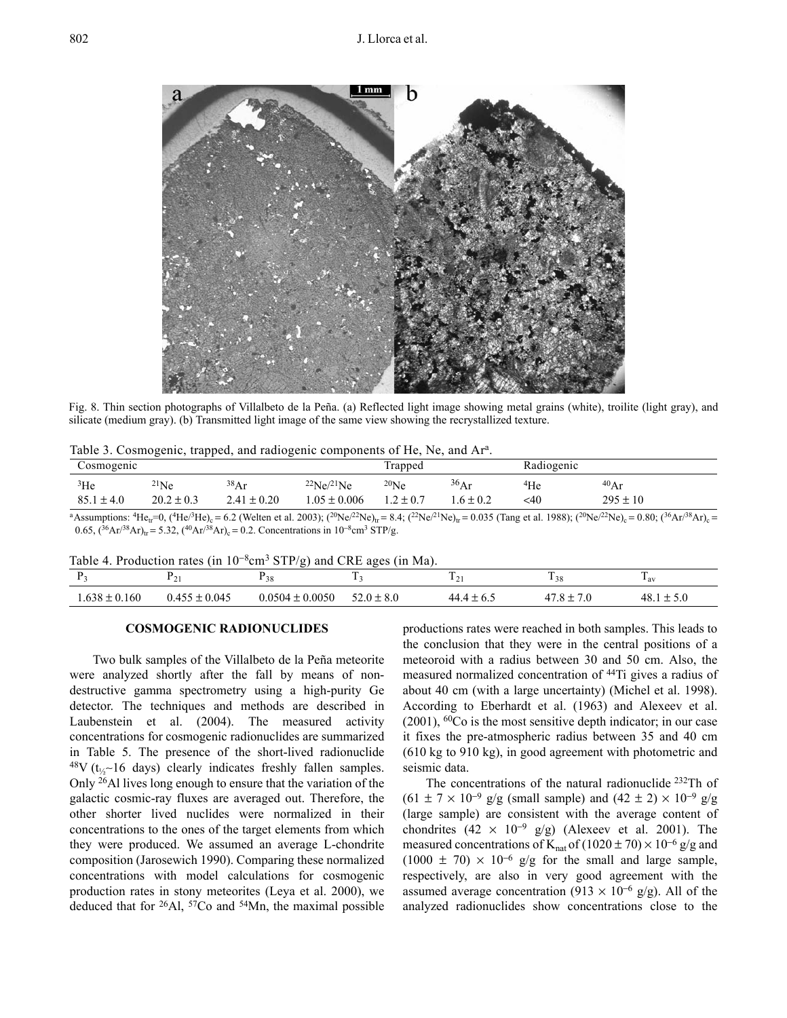

Fig. 8. Thin section photographs of Villalbeto de la Peña. (a) Reflected light image showing metal grains (white), troilite (light gray), and silicate (medium gray). (b) Transmitted light image of the same view showing the recrystallized texture.

|  |  |  |  |  |  |  | Table 3. Cosmogenic, trapped, and radiogenic components of He, Ne, and Ar <sup>a</sup> . |  |  |  |  |  |  |
|--|--|--|--|--|--|--|------------------------------------------------------------------------------------------|--|--|--|--|--|--|
|--|--|--|--|--|--|--|------------------------------------------------------------------------------------------|--|--|--|--|--|--|

| Cosmogenic                        |                                                                                                                                                                                                                                 |                         |                                       | Trapped                     |                      | Radiogenic    |                      |
|-----------------------------------|---------------------------------------------------------------------------------------------------------------------------------------------------------------------------------------------------------------------------------|-------------------------|---------------------------------------|-----------------------------|----------------------|---------------|----------------------|
| <sup>3</sup> He<br>$85.1 \pm 4.0$ | $^{21}Ne$<br>$20.2 \pm 0.3$                                                                                                                                                                                                     | 38Ar<br>$2.41 \pm 0.20$ | $^{22}Ne/^{21}Ne$<br>$0.05 \pm 0.006$ | $^{20}$ Ne<br>$1.2 \pm 0.7$ | 36Ar<br>$.6 \pm 0.2$ | $4$ He<br><40 | 40Ar<br>$295 \pm 10$ |
|                                   | $\sim$ . The contract of the contract of the contract of the contract of the contract of the contract of the contract of the contract of the contract of the contract of the contract of the contract of the contract of the co |                         |                                       |                             |                      |               |                      |

<sup>a</sup> Assumptions: <sup>4</sup>He<sub>tr</sub>=0, (<sup>4</sup>He<sup>/3</sup>He<sub>)</sub><sub>c</sub> = 6.2 (Welten et al. 2003); (<sup>20</sup>Ne/<sup>22</sup>Ne)<sub>tr</sub> = 8.4; (<sup>22</sup>Ne/<sup>21</sup>Ne)<sub>tr</sub> = 0.035 (Tang et al. 1988); (<sup>20</sup>Ne/<sup>22</sup>Ne)<sub>c</sub> = 0.80; (<sup>36</sup>Ar/<sup>38</sup>Ar)<sub>c</sub> =  $0.65$ ,  $({}^{36}Ar/{}^{38}Ar)_{tr} = 5.32$ ,  $({}^{40}Ar/{}^{38}Ar)_{c} = 0.2$ . Concentrations in  $10^{-8}cm<sup>3</sup> STP/g$ .

Table 4. Production rates (in  $10^{-8}$ cm<sup>3</sup> STP/g) and CRE ages (in Ma).

|              | --                                    |                  | $\sim$                                                           | --                                                       | $\sim$ | <b>CONT</b><br>$-av$          |
|--------------|---------------------------------------|------------------|------------------------------------------------------------------|----------------------------------------------------------|--------|-------------------------------|
| 638<br>0.160 | 0.045<br>$\cdot$ $ -$<br>$\mathbf{1}$ | 0.0050<br>0.0504 | $\sim$ 0 + $\sim$<br>$\sigma$ .<br>$\overline{\phantom{a}}$<br>÷ | 44<br>.<br>$\mathsf{v} \cdot \mathsf{v}$<br>. <u>. .</u> |        | ДX<br>$10.1 -$<br>$\sim\cdot$ |

## **COSMOGENIC RADIONUCLIDES**

Two bulk samples of the Villalbeto de la Peña meteorite were analyzed shortly after the fall by means of nondestructive gamma spectrometry using a high-purity Ge detector. The techniques and methods are described in Laubenstein et al. (2004). The measured activity concentrations for cosmogenic radionuclides are summarized in Table 5. The presence of the short-lived radionuclide  $48V$  (t<sub>1/2</sub>-16 days) clearly indicates freshly fallen samples. Only <sup>26</sup>Al lives long enough to ensure that the variation of the galactic cosmic-ray fluxes are averaged out. Therefore, the other shorter lived nuclides were normalized in their concentrations to the ones of the target elements from which they were produced. We assumed an average L-chondrite composition (Jarosewich 1990). Comparing these normalized concentrations with model calculations for cosmogenic production rates in stony meteorites (Leya et al. 2000), we deduced that for  $^{26}$ Al,  $^{57}$ Co and  $^{54}$ Mn, the maximal possible productions rates were reached in both samples. This leads to the conclusion that they were in the central positions of a meteoroid with a radius between 30 and 50 cm. Also, the measured normalized concentration of <sup>44</sup>Ti gives a radius of about 40 cm (with a large uncertainty) (Michel et al. 1998). According to Eberhardt et al. (1963) and Alexeev et al.  $(2001)$ , <sup>60</sup>Co is the most sensitive depth indicator; in our case it fixes the pre-atmospheric radius between 35 and 40 cm  $(610 \text{ kg to } 910 \text{ kg})$ , in good agreement with photometric and seismic data.

The concentrations of the natural radionuclide <sup>232</sup>Th of  $(61 \pm 7 \times 10^{-9} \text{ g/g}$  (small sample) and  $(42 \pm 2) \times 10^{-9} \text{ g/g}$ (large sample) are consistent with the average content of chondrites  $(42 \times 10^{-9} \text{ g/g})$  (Alexeev et al. 2001). The measured concentrations of K<sub>nat</sub> of  $(1020 \pm 70) \times 10^{-6}$  g/g and  $(1000 \pm 70) \times 10^{-6}$  g/g for the small and large sample, respectively, are also in very good agreement with the assumed average concentration (913  $\times$  10<sup>-6</sup> g/g). All of the analyzed radionuclides show concentrations close to the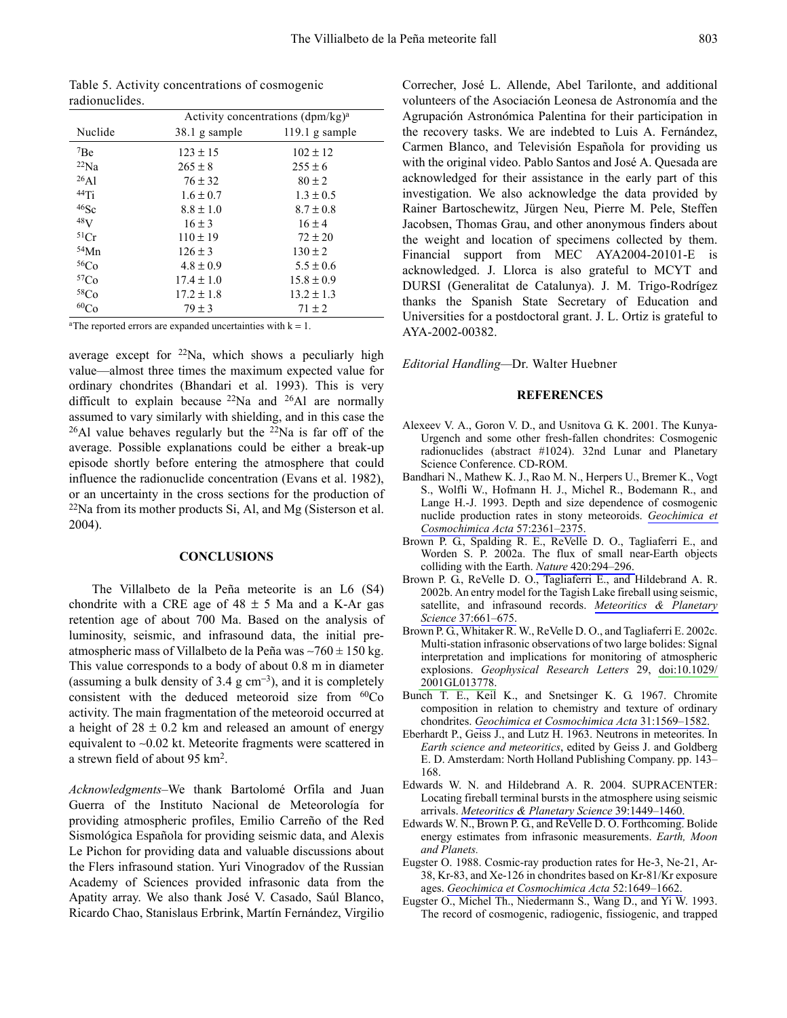803

| radionuclides. |               |                                      |
|----------------|---------------|--------------------------------------|
|                |               | Activity concentrations $(dpm/kg)^a$ |
| Nuclide        | 38.1 g sample | 119.1 g sample                       |
| 7Be            | $123 \pm 15$  | $102 \pm 12$                         |
| $^{22}Na$      | $265 \pm 8$   | $255 \pm 6$                          |
| 26A1           | $76 \pm 32$   | $80 \pm 2$                           |
| 44Ti           | $1.6 \pm 0.7$ | $1.3 \pm 0.5$                        |
| $46$ Sc        | $8.8 \pm 1.0$ | $8.7 \pm 0.8$                        |
| 48V            | $16 \pm 3$    | $16 \pm 4$                           |
| 51Cr           | $110 \pm 19$  | $72 \pm 20$                          |
| 54Mn           | $126 \pm 3$   | $130 \pm 2$                          |
| 56Co           | $4.8 \pm 0.9$ | $5.5 \pm 0.6$                        |

Table 5 Activity concentrations of cosmogenic

 $79 \pm 3$ <sup>a</sup>The reported errors are expanded uncertainties with  $k = 1$ .

 $17.4 \pm 1.0$ 

 $17.2 \pm 1.8$ 

 $15.8 \pm 0.9$ 

 $13.2 \pm 1.3$ 

 $71 \pm 2$ 

 $57<sub>Co</sub>$ 

 $58<sub>Co</sub>$ 

 $60<sub>Co</sub>$ 

average except for  $22$ Na, which shows a peculiarly high value—almost three times the maximum expected value for ordinary chondrites (Bhandari et al. 1993). This is very difficult to explain because  $^{22}$ Na and  $^{26}$ Al are normally assumed to vary similarly with shielding, and in this case the <sup>26</sup>Al value behaves regularly but the <sup>22</sup>Na is far off of the average. Possible explanations could be either a break-up episode shortly before entering the atmosphere that could influence the radionuclide concentration (Evans et al. 1982), or an uncertainty in the cross sections for the production of <sup>22</sup>Na from its mother products Si, Al, and Mg (Sisterson et al. 2004).

#### **CONCLUSIONS**

The Villalbeto de la Peña meteorite is an L6 (S4) chondrite with a CRE age of  $48 \pm 5$  Ma and a K-Ar gas retention age of about 700 Ma. Based on the analysis of luminosity, seismic, and infrasound data, the initial preatmospheric mass of Villalbeto de la Peña was  $\sim$ 760 ± 150 kg. This value corresponds to a body of about 0.8 m in diameter (assuming a bulk density of 3.4  $g \text{ cm}^{-3}$ ), and it is completely consistent with the deduced meteoroid size from <sup>60</sup>Co activity. The main fragmentation of the meteoroid occurred at a height of  $28 \pm 0.2$  km and released an amount of energy equivalent to  $\sim 0.02$  kt. Meteorite fragments were scattered in a strewn field of about 95 km<sup>2</sup>.

Acknowledgments–We thank Bartolomé Orfila and Juan Guerra of the Instituto Nacional de Meteorología for providing atmospheric profiles, Emilio Carreño of the Red Sismológica Española for providing seismic data, and Alexis Le Pichon for providing data and valuable discussions about the Flers infrasound station. Yuri Vinogradov of the Russian Academy of Sciences provided infrasonic data from the Apatity array. We also thank José V. Casado, Saúl Blanco, Ricardo Chao, Stanislaus Erbrink, Martín Fernández, Virgilio

Correcher, José L. Allende, Abel Tarilonte, and additional volunteers of the Asociación Leonesa de Astronomía and the Agrupación Astronómica Palentina for their participation in the recovery tasks. We are indebted to Luis A. Fernández, Carmen Blanco, and Televisión Española for providing us with the original video. Pablo Santos and José A. Quesada are acknowledged for their assistance in the early part of this investigation. We also acknowledge the data provided by Rainer Bartoschewitz, Jürgen Neu, Pierre M. Pele, Steffen Jacobsen, Thomas Grau, and other anonymous finders about the weight and location of specimens collected by them. Financial support from MEC AYA2004-20101-E is acknowledged. J. Llorca is also grateful to MCYT and DURSI (Generalitat de Catalunya). J. M. Trigo-Rodrígez thanks the Spanish State Secretary of Education and Universities for a postdoctoral grant. J. L. Ortiz is grateful to AYA-2002-00382.

Editorial Handling-Dr. Walter Huebner

#### **REFERENCES**

- Alexeev V. A., Goron V. D., and Usnitova G. K. 2001. The Kunya-Urgench and some other fresh-fallen chondrites: Cosmogenic radionuclides (abstract #1024). 32nd Lunar and Planetary Science Conference. CD-ROM.
- Bandhari N., Mathew K. J., Rao M. N., Herpers U., Bremer K., Vogt S., Wolfli W., Hofmann H. J., Michel R., Bodemann R., and Lange H.-J. 1993. Depth and size dependence of cosmogenic nuclide production rates in stony meteoroids. Geochimica et Cosmochimica Acta 57:2361-2375
- Brown P. G., Spalding R. E., ReVelle D. O., Tagliaferri E., and Worden S. P. 2002a. The flux of small near-Earth objects colliding with the Earth. Nature 420:294-296.
- Brown P. G., ReVelle D. O., Tagliaferri E., and Hildebrand A. R. 2002b. An entry model for the Tagish Lake fireball using seismic, satellite, and infrasound records. Meteoritics & Planetary Science 37:661-675.
- Brown P. G., Whitaker R. W., ReVelle D. O., and Tagliaferri E. 2002c. Multi-station infrasonic observations of two large bolides: Signal interpretation and implications for monitoring of atmospheric explosions. Geophysical Research Letters 29, doi:10.1029/ 2001GL013778.
- Bunch T. E., Keil K., and Snetsinger K. G. 1967. Chromite composition in relation to chemistry and texture of ordinary chondrites. Geochimica et Cosmochimica Acta 31:1569-1582.
- Eberhardt P., Geiss J., and Lutz H. 1963. Neutrons in meteorites. In Earth science and meteoritics, edited by Geiss J. and Goldberg E. D. Amsterdam: North Holland Publishing Company. pp. 143-168.
- Edwards W. N. and Hildebrand A. R. 2004. SUPRACENTER: Locating fireball terminal bursts in the atmosphere using seismic arrivals. Meteoritics & Planetary Science 39:1449-1460.
- Edwards W. N., Brown P. G., and ReVelle D. O. Forthcoming. Bolide energy estimates from infrasonic measurements. Earth, Moon and Planets.
- Eugster O. 1988. Cosmic-ray production rates for He-3, Ne-21, Ar-38, Kr-83, and Xe-126 in chondrites based on Kr-81/Kr exposure ages. Geochimica et Cosmochimica Acta 52:1649-1662.
- Eugster O., Michel Th., Niedermann S., Wang D., and Yi W. 1993. The record of cosmogenic, radiogenic, fissiogenic, and trapped